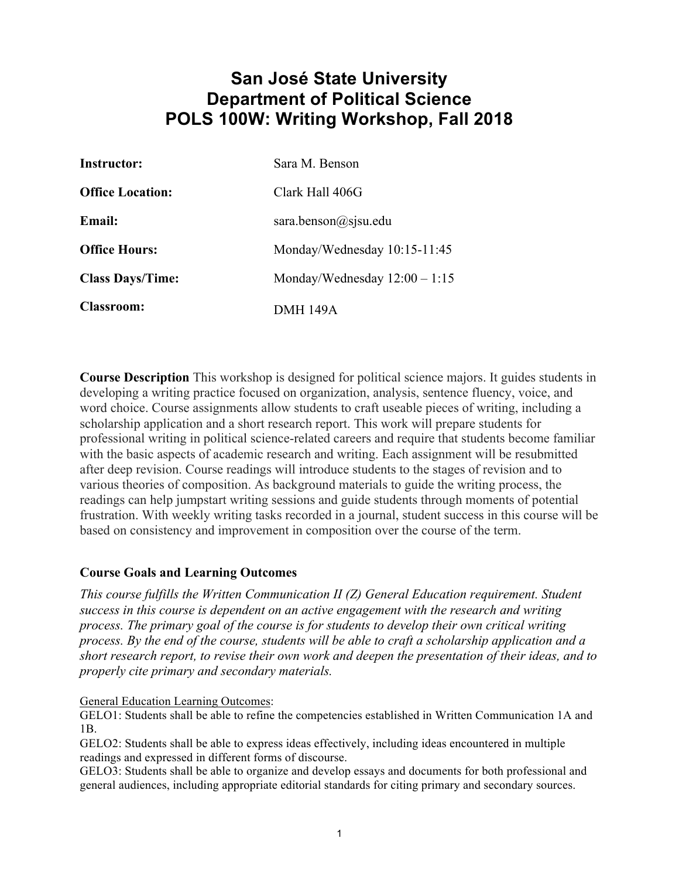# **San José State University Department of Political Science POLS 100W: Writing Workshop, Fall 2018**

| <b>Instructor:</b>      | Sara M. Benson                  |
|-------------------------|---------------------------------|
| <b>Office Location:</b> | Clark Hall 406G                 |
| <b>Email:</b>           | sara.benson@sjsu.edu            |
| <b>Office Hours:</b>    | Monday/Wednesday 10:15-11:45    |
| <b>Class Days/Time:</b> | Monday/Wednesday $12:00 - 1:15$ |
| <b>Classroom:</b>       | <b>DMH 149A</b>                 |

**Course Description** This workshop is designed for political science majors. It guides students in developing a writing practice focused on organization, analysis, sentence fluency, voice, and word choice. Course assignments allow students to craft useable pieces of writing, including a scholarship application and a short research report. This work will prepare students for professional writing in political science-related careers and require that students become familiar with the basic aspects of academic research and writing. Each assignment will be resubmitted after deep revision. Course readings will introduce students to the stages of revision and to various theories of composition. As background materials to guide the writing process, the readings can help jumpstart writing sessions and guide students through moments of potential frustration. With weekly writing tasks recorded in a journal, student success in this course will be based on consistency and improvement in composition over the course of the term.

#### **Course Goals and Learning Outcomes**

*This course fulfills the Written Communication II (Z) General Education requirement. Student success in this course is dependent on an active engagement with the research and writing process. The primary goal of the course is for students to develop their own critical writing process. By the end of the course, students will be able to craft a scholarship application and a short research report, to revise their own work and deepen the presentation of their ideas, and to properly cite primary and secondary materials.* 

#### General Education Learning Outcomes:

GELO1: Students shall be able to refine the competencies established in Written Communication 1A and 1B.

GELO2: Students shall be able to express ideas effectively, including ideas encountered in multiple readings and expressed in different forms of discourse.

GELO3: Students shall be able to organize and develop essays and documents for both professional and general audiences, including appropriate editorial standards for citing primary and secondary sources.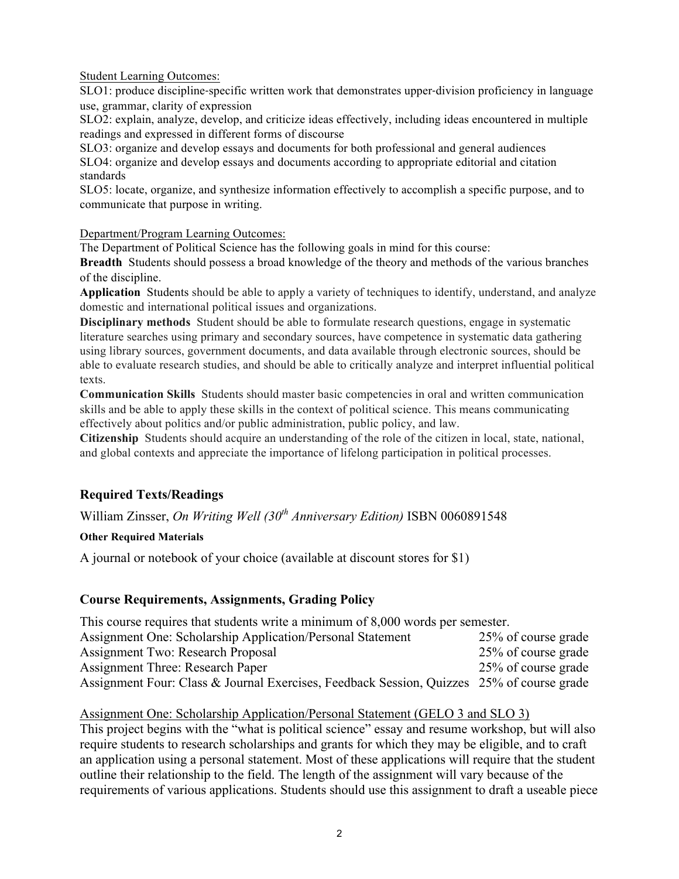Student Learning Outcomes:

SLO1: produce discipline‐specific written work that demonstrates upper‐division proficiency in language use, grammar, clarity of expression

SLO2: explain, analyze, develop, and criticize ideas effectively, including ideas encountered in multiple readings and expressed in different forms of discourse

SLO3: organize and develop essays and documents for both professional and general audiences SLO4: organize and develop essays and documents according to appropriate editorial and citation standards

SLO5: locate, organize, and synthesize information effectively to accomplish a specific purpose, and to communicate that purpose in writing.

Department/Program Learning Outcomes:

The Department of Political Science has the following goals in mind for this course:

**Breadth** Students should possess a broad knowledge of the theory and methods of the various branches of the discipline.

**Application** Students should be able to apply a variety of techniques to identify, understand, and analyze domestic and international political issues and organizations.

**Disciplinary methods** Student should be able to formulate research questions, engage in systematic literature searches using primary and secondary sources, have competence in systematic data gathering using library sources, government documents, and data available through electronic sources, should be able to evaluate research studies, and should be able to critically analyze and interpret influential political texts.

**Communication Skills** Students should master basic competencies in oral and written communication skills and be able to apply these skills in the context of political science. This means communicating effectively about politics and/or public administration, public policy, and law.

**Citizenship** Students should acquire an understanding of the role of the citizen in local, state, national, and global contexts and appreciate the importance of lifelong participation in political processes.

### **Required Texts/Readings**

William Zinsser, *On Writing Well (30th Anniversary Edition)* ISBN 0060891548

#### **Other Required Materials**

A journal or notebook of your choice (available at discount stores for \$1)

### **Course Requirements, Assignments, Grading Policy**

| This course requires that students write a minimum of 8,000 words per semester.           |                     |  |
|-------------------------------------------------------------------------------------------|---------------------|--|
| Assignment One: Scholarship Application/Personal Statement                                | 25% of course grade |  |
| Assignment Two: Research Proposal                                                         | 25% of course grade |  |
| <b>Assignment Three: Research Paper</b>                                                   | 25% of course grade |  |
| Assignment Four: Class & Journal Exercises, Feedback Session, Quizzes 25% of course grade |                     |  |

#### Assignment One: Scholarship Application/Personal Statement (GELO 3 and SLO 3)

This project begins with the "what is political science" essay and resume workshop, but will also require students to research scholarships and grants for which they may be eligible, and to craft an application using a personal statement. Most of these applications will require that the student outline their relationship to the field. The length of the assignment will vary because of the requirements of various applications. Students should use this assignment to draft a useable piece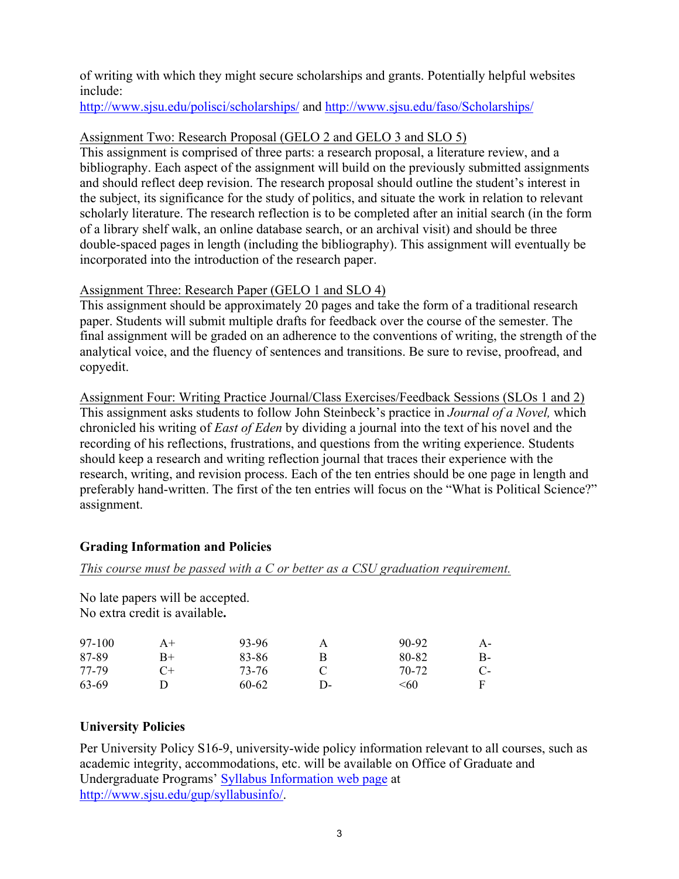of writing with which they might secure scholarships and grants. Potentially helpful websites include:

http://www.sjsu.edu/polisci/scholarships/ and http://www.sjsu.edu/faso/Scholarships/

## Assignment Two: Research Proposal (GELO 2 and GELO 3 and SLO 5)

This assignment is comprised of three parts: a research proposal, a literature review, and a bibliography. Each aspect of the assignment will build on the previously submitted assignments and should reflect deep revision. The research proposal should outline the student's interest in the subject, its significance for the study of politics, and situate the work in relation to relevant scholarly literature. The research reflection is to be completed after an initial search (in the form of a library shelf walk, an online database search, or an archival visit) and should be three double-spaced pages in length (including the bibliography). This assignment will eventually be incorporated into the introduction of the research paper.

## Assignment Three: Research Paper (GELO 1 and SLO 4)

This assignment should be approximately 20 pages and take the form of a traditional research paper. Students will submit multiple drafts for feedback over the course of the semester. The final assignment will be graded on an adherence to the conventions of writing, the strength of the analytical voice, and the fluency of sentences and transitions. Be sure to revise, proofread, and copyedit.

Assignment Four: Writing Practice Journal/Class Exercises/Feedback Sessions (SLOs 1 and 2) This assignment asks students to follow John Steinbeck's practice in *Journal of a Novel,* which chronicled his writing of *East of Eden* by dividing a journal into the text of his novel and the recording of his reflections, frustrations, and questions from the writing experience. Students should keep a research and writing reflection journal that traces their experience with the research, writing, and revision process. Each of the ten entries should be one page in length and preferably hand-written. The first of the ten entries will focus on the "What is Political Science?" assignment.

## **Grading Information and Policies**

### *This course must be passed with a C or better as a CSU graduation requirement.*

No late papers will be accepted. No extra credit is available**.** 

| 97-100 | $A+$ | 93-96 | А             | 90-92 | A- |
|--------|------|-------|---------------|-------|----|
| 87-89  | B+   | 83-86 |               | 80-82 | B- |
| 77-79  | $C+$ | 73-76 |               | 70-72 | C- |
| 63-69  |      | 60-62 | <u> 1) - </u> | <60   |    |

## **University Policies**

Per University Policy S16-9, university-wide policy information relevant to all courses, such as academic integrity, accommodations, etc. will be available on Office of Graduate and Undergraduate Programs' Syllabus Information web page at http://www.sjsu.edu/gup/syllabusinfo/.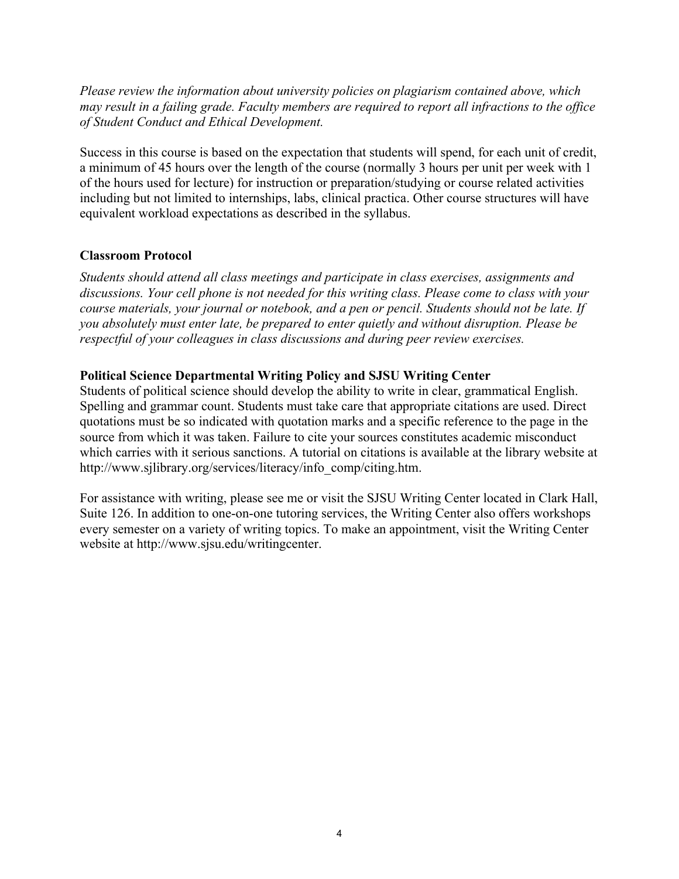*Please review the information about university policies on plagiarism contained above, which may result in a failing grade. Faculty members are required to report all infractions to the office of Student Conduct and Ethical Development.*

Success in this course is based on the expectation that students will spend, for each unit of credit, a minimum of 45 hours over the length of the course (normally 3 hours per unit per week with 1 of the hours used for lecture) for instruction or preparation/studying or course related activities including but not limited to internships, labs, clinical practica. Other course structures will have equivalent workload expectations as described in the syllabus.

#### **Classroom Protocol**

*Students should attend all class meetings and participate in class exercises, assignments and discussions. Your cell phone is not needed for this writing class. Please come to class with your course materials, your journal or notebook, and a pen or pencil. Students should not be late. If you absolutely must enter late, be prepared to enter quietly and without disruption. Please be respectful of your colleagues in class discussions and during peer review exercises.* 

#### **Political Science Departmental Writing Policy and SJSU Writing Center**

Students of political science should develop the ability to write in clear, grammatical English. Spelling and grammar count. Students must take care that appropriate citations are used. Direct quotations must be so indicated with quotation marks and a specific reference to the page in the source from which it was taken. Failure to cite your sources constitutes academic misconduct which carries with it serious sanctions. A tutorial on citations is available at the library website at http://www.sjlibrary.org/services/literacy/info\_comp/citing.htm.

For assistance with writing, please see me or visit the SJSU Writing Center located in Clark Hall, Suite 126. In addition to one-on-one tutoring services, the Writing Center also offers workshops every semester on a variety of writing topics. To make an appointment, visit the Writing Center website at http://www.sjsu.edu/writingcenter.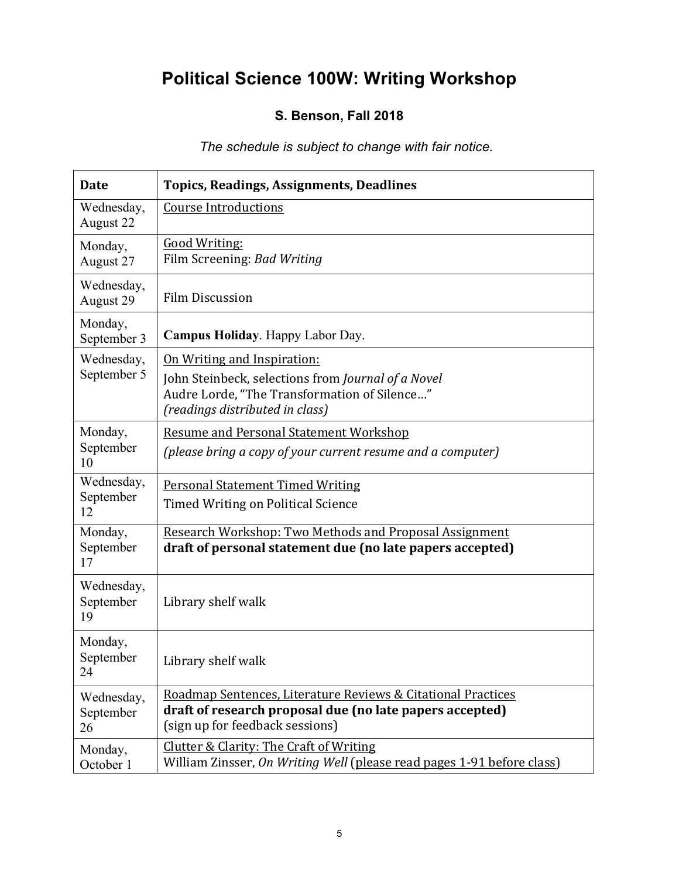# **Political Science 100W: Writing Workshop**

## **S. Benson, Fall 2018**

# *The schedule is subject to change with fair notice.*

| <b>Date</b>                   | <b>Topics, Readings, Assignments, Deadlines</b>                                                                                                                      |
|-------------------------------|----------------------------------------------------------------------------------------------------------------------------------------------------------------------|
| Wednesday,<br>August 22       | <b>Course Introductions</b>                                                                                                                                          |
| Monday,<br>August 27          | <b>Good Writing:</b><br>Film Screening: Bad Writing                                                                                                                  |
| Wednesday,<br>August 29       | <b>Film Discussion</b>                                                                                                                                               |
| Monday,<br>September 3        | Campus Holiday. Happy Labor Day.                                                                                                                                     |
| Wednesday,<br>September 5     | On Writing and Inspiration:<br>John Steinbeck, selections from Journal of a Novel<br>Audre Lorde, "The Transformation of Silence"<br>(readings distributed in class) |
| Monday,<br>September<br>10    | <b>Resume and Personal Statement Workshop</b><br>(please bring a copy of your current resume and a computer)                                                         |
| Wednesday,<br>September<br>12 | <b>Personal Statement Timed Writing</b><br>Timed Writing on Political Science                                                                                        |
| Monday,<br>September<br>17    | Research Workshop: Two Methods and Proposal Assignment<br>draft of personal statement due (no late papers accepted)                                                  |
| Wednesday,<br>September<br>19 | Library shelf walk                                                                                                                                                   |
| Monday,<br>September<br>24    | Library shelf walk                                                                                                                                                   |
| Wednesday,<br>September<br>26 | Roadmap Sentences, Literature Reviews & Citational Practices<br>draft of research proposal due (no late papers accepted)<br>(sign up for feedback sessions)          |
| Monday,<br>October 1          | Clutter & Clarity: The Craft of Writing<br>William Zinsser, On Writing Well (please read pages 1-91 before class)                                                    |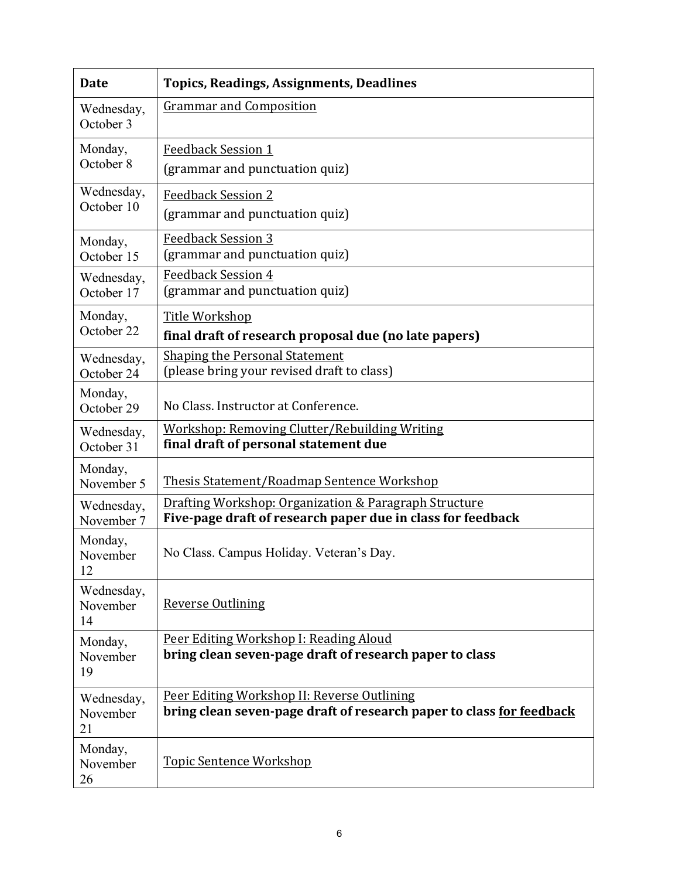| <b>Date</b>                  | <b>Topics, Readings, Assignments, Deadlines</b>                                                                      |
|------------------------------|----------------------------------------------------------------------------------------------------------------------|
| Wednesday,<br>October 3      | <b>Grammar and Composition</b>                                                                                       |
| Monday,<br>October 8         | <b>Feedback Session 1</b><br>(grammar and punctuation quiz)                                                          |
| Wednesday,<br>October 10     | <b>Feedback Session 2</b><br>(grammar and punctuation quiz)                                                          |
| Monday,<br>October 15        | <b>Feedback Session 3</b><br>(grammar and punctuation quiz)                                                          |
| Wednesday,<br>October 17     | <b>Feedback Session 4</b><br>(grammar and punctuation quiz)                                                          |
| Monday,<br>October 22        | Title Workshop<br>final draft of research proposal due (no late papers)                                              |
| Wednesday,<br>October 24     | <b>Shaping the Personal Statement</b><br>(please bring your revised draft to class)                                  |
| Monday,<br>October 29        | No Class. Instructor at Conference.                                                                                  |
| Wednesday,<br>October 31     | Workshop: Removing Clutter/Rebuilding Writing<br>final draft of personal statement due                               |
| Monday,<br>November 5        | <b>Thesis Statement/Roadmap Sentence Workshop</b>                                                                    |
| Wednesday,<br>November 7     | Drafting Workshop: Organization & Paragraph Structure<br>Five-page draft of research paper due in class for feedback |
| Monday,<br>November<br>12    | No Class. Campus Holiday. Veteran's Day.                                                                             |
| Wednesday,<br>November<br>14 | <b>Reverse Outlining</b>                                                                                             |
| Monday,<br>November<br>19    | Peer Editing Workshop I: Reading Aloud<br>bring clean seven-page draft of research paper to class                    |
| Wednesday,<br>November<br>21 | Peer Editing Workshop II: Reverse Outlining<br>bring clean seven-page draft of research paper to class for feedback  |
| Monday,<br>November<br>26    | <b>Topic Sentence Workshop</b>                                                                                       |